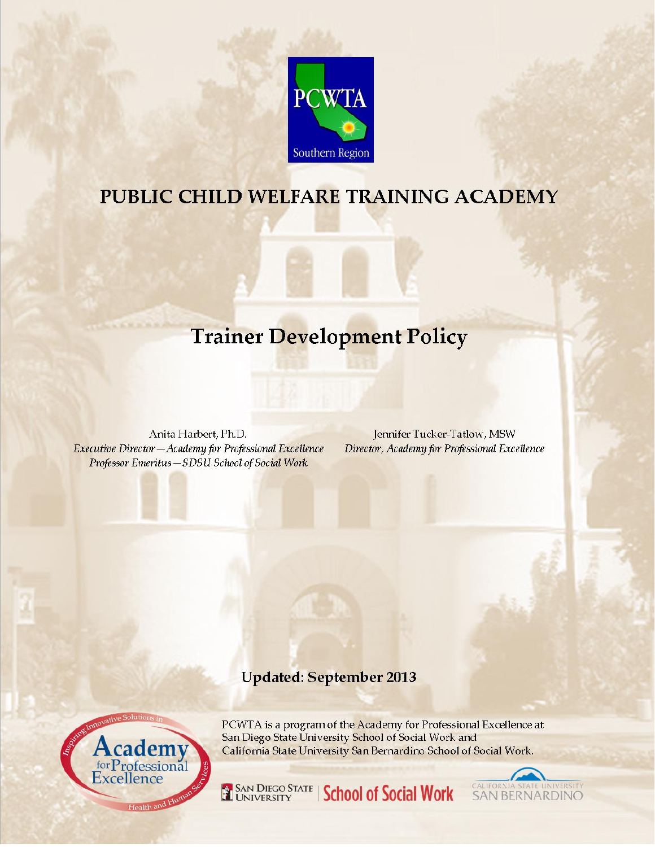

# PUBLIC CHILD WELFARE TRAINING ACADEMY

# **Trainer Development Policy**

Anita Harbert, Ph.D. Executive Director-Academy for Professional Excellence Professor Emeritus-SDSU School of Social Work

Jennifer Tucker-Tatlow, MSW Director, Academy for Professional Excellence

# **Updated: September 2013**



PCWTA is a program of the Academy for Professional Excellence at San Diego State University School of Social Work and California State University San Bernardino School of Social Work.



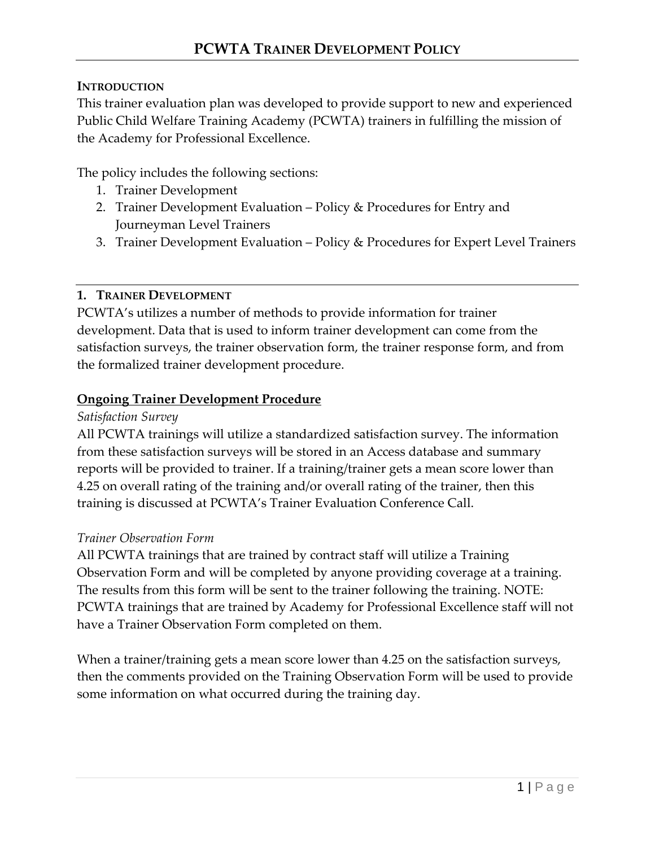#### **INTRODUCTION**

This trainer evaluation plan was developed to provide support to new and experienced Public Child Welfare Training Academy (PCWTA) trainers in fulfilling the mission of the Academy for Professional Excellence.

The policy includes the following sections:

- 1. Trainer Development
- 2. Trainer Development Evaluation Policy & Procedures for Entry and Journeyman Level Trainers
- 3. Trainer Development Evaluation Policy & Procedures for Expert Level Trainers

#### **1. TRAINER DEVELOPMENT**

PCWTA's utilizes a number of methods to provide information for trainer development. Data that is used to inform trainer development can come from the satisfaction surveys, the trainer observation form, the trainer response form, and from the formalized trainer development procedure.

#### **Ongoing Trainer Development Procedure**

#### *Satisfaction Survey*

All PCWTA trainings will utilize a standardized satisfaction survey. The information from these satisfaction surveys will be stored in an Access database and summary reports will be provided to trainer. If a training/trainer gets a mean score lower than 4.25 on overall rating of the training and/or overall rating of the trainer, then this training is discussed at PCWTA's Trainer Evaluation Conference Call.

#### *Trainer Observation Form*

All PCWTA trainings that are trained by contract staff will utilize a Training Observation Form and will be completed by anyone providing coverage at a training. The results from this form will be sent to the trainer following the training. NOTE: PCWTA trainings that are trained by Academy for Professional Excellence staff will not have a Trainer Observation Form completed on them.

When a trainer/training gets a mean score lower than 4.25 on the satisfaction surveys, then the comments provided on the Training Observation Form will be used to provide some information on what occurred during the training day.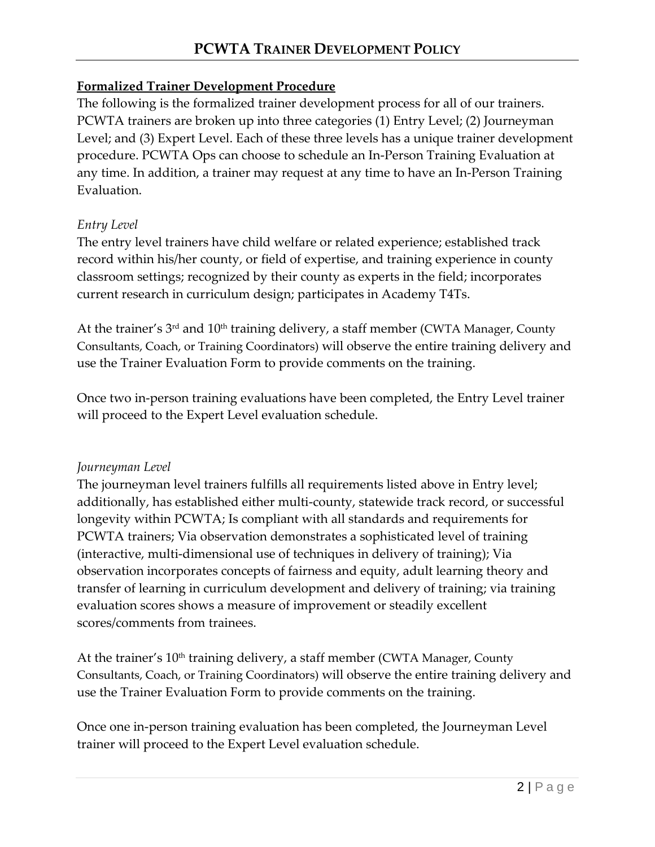#### **Formalized Trainer Development Procedure**

The following is the formalized trainer development process for all of our trainers. PCWTA trainers are broken up into three categories (1) Entry Level; (2) Journeyman Level; and (3) Expert Level. Each of these three levels has a unique trainer development procedure. PCWTA Ops can choose to schedule an In-Person Training Evaluation at any time. In addition, a trainer may request at any time to have an In-Person Training Evaluation.

#### *Entry Level*

The entry level trainers have child welfare or related experience; established track record within his/her county, or field of expertise, and training experience in county classroom settings; recognized by their county as experts in the field; incorporates current research in curriculum design; participates in Academy T4Ts.

At the trainer's 3<sup>rd</sup> and 10<sup>th</sup> training delivery, a staff member (CWTA Manager, County Consultants, Coach, or Training Coordinators) will observe the entire training delivery and use the Trainer Evaluation Form to provide comments on the training.

Once two in-person training evaluations have been completed, the Entry Level trainer will proceed to the Expert Level evaluation schedule.

#### *Journeyman Level*

The journeyman level trainers fulfills all requirements listed above in Entry level; additionally, has established either multi-county, statewide track record, or successful longevity within PCWTA; Is compliant with all standards and requirements for PCWTA trainers; Via observation demonstrates a sophisticated level of training (interactive, multi-dimensional use of techniques in delivery of training); Via observation incorporates concepts of fairness and equity, adult learning theory and transfer of learning in curriculum development and delivery of training; via training evaluation scores shows a measure of improvement or steadily excellent scores/comments from trainees.

At the trainer's 10<sup>th</sup> training delivery, a staff member (CWTA Manager, County Consultants, Coach, or Training Coordinators) will observe the entire training delivery and use the Trainer Evaluation Form to provide comments on the training.

Once one in-person training evaluation has been completed, the Journeyman Level trainer will proceed to the Expert Level evaluation schedule.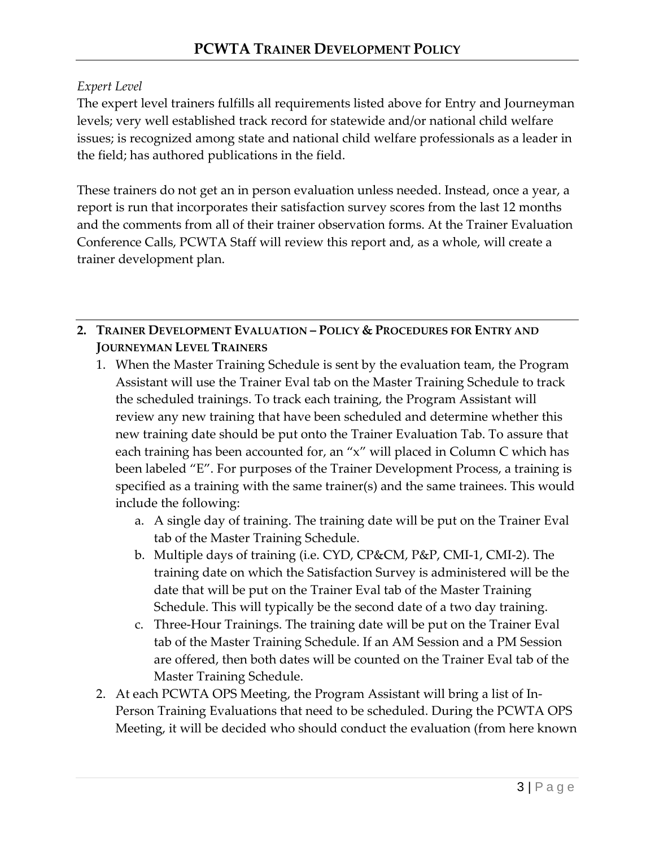#### *Expert Level*

The expert level trainers fulfills all requirements listed above for Entry and Journeyman levels; very well established track record for statewide and/or national child welfare issues; is recognized among state and national child welfare professionals as a leader in the field; has authored publications in the field.

These trainers do not get an in person evaluation unless needed. Instead, once a year, a report is run that incorporates their satisfaction survey scores from the last 12 months and the comments from all of their trainer observation forms. At the Trainer Evaluation Conference Calls, PCWTA Staff will review this report and, as a whole, will create a trainer development plan.

### **2. TRAINER DEVELOPMENT EVALUATION – POLICY & PROCEDURES FOR ENTRY AND JOURNEYMAN LEVEL TRAINERS**

- 1. When the Master Training Schedule is sent by the evaluation team, the Program Assistant will use the Trainer Eval tab on the Master Training Schedule to track the scheduled trainings. To track each training, the Program Assistant will review any new training that have been scheduled and determine whether this new training date should be put onto the Trainer Evaluation Tab. To assure that each training has been accounted for, an "x" will placed in Column C which has been labeled "E". For purposes of the Trainer Development Process, a training is specified as a training with the same trainer(s) and the same trainees. This would include the following:
	- a. A single day of training. The training date will be put on the Trainer Eval tab of the Master Training Schedule.
	- b. Multiple days of training (i.e. CYD, CP&CM, P&P, CMI-1, CMI-2). The training date on which the Satisfaction Survey is administered will be the date that will be put on the Trainer Eval tab of the Master Training Schedule. This will typically be the second date of a two day training.
	- c. Three-Hour Trainings. The training date will be put on the Trainer Eval tab of the Master Training Schedule. If an AM Session and a PM Session are offered, then both dates will be counted on the Trainer Eval tab of the Master Training Schedule.
- 2. At each PCWTA OPS Meeting, the Program Assistant will bring a list of In-Person Training Evaluations that need to be scheduled. During the PCWTA OPS Meeting, it will be decided who should conduct the evaluation (from here known